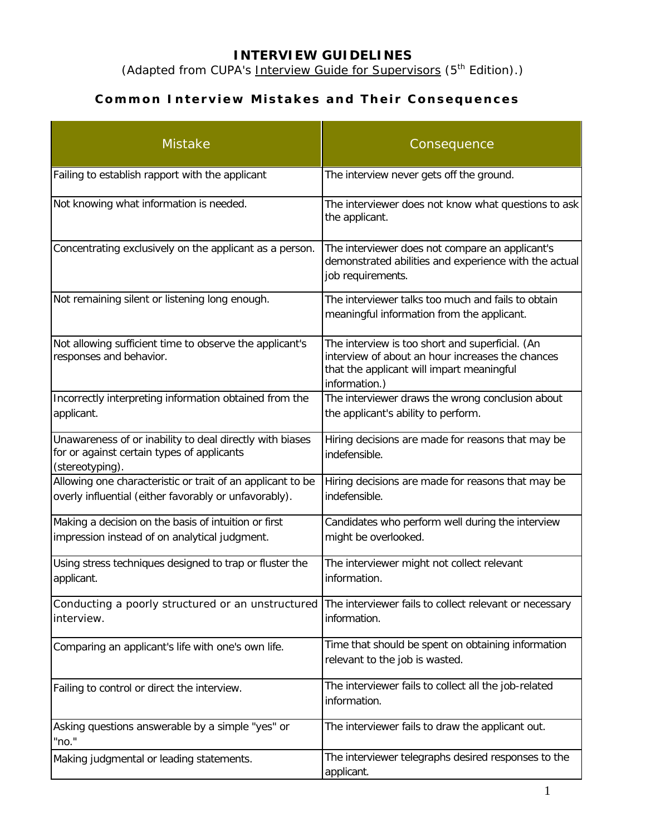# **INTERVIEW GUIDELINES**

*(Adapted from CUPA's Interview Guide for Supervisors (5th Edition).)*

# **Common Interview Mistakes and Their Consequences**

| <b>Mistake</b>                                                                                                            | Consequence                                                                                                                                                       |
|---------------------------------------------------------------------------------------------------------------------------|-------------------------------------------------------------------------------------------------------------------------------------------------------------------|
| Failing to establish rapport with the applicant                                                                           | The interview never gets off the ground.                                                                                                                          |
| Not knowing what information is needed.                                                                                   | The interviewer does not know what questions to ask<br>the applicant.                                                                                             |
| Concentrating exclusively on the applicant as a person.                                                                   | The interviewer does not compare an applicant's<br>demonstrated abilities and experience with the actual<br>job requirements.                                     |
| Not remaining silent or listening long enough.                                                                            | The interviewer talks too much and fails to obtain<br>meaningful information from the applicant.                                                                  |
| Not allowing sufficient time to observe the applicant's<br>responses and behavior.                                        | The interview is too short and superficial. (An<br>interview of about an hour increases the chances<br>that the applicant will impart meaningful<br>information.) |
| Incorrectly interpreting information obtained from the<br>applicant.                                                      | The interviewer draws the wrong conclusion about<br>the applicant's ability to perform.                                                                           |
| Unawareness of or inability to deal directly with biases<br>for or against certain types of applicants<br>(stereotyping). | Hiring decisions are made for reasons that may be<br>indefensible.                                                                                                |
| Allowing one characteristic or trait of an applicant to be<br>overly influential (either favorably or unfavorably).       | Hiring decisions are made for reasons that may be<br>indefensible.                                                                                                |
| Making a decision on the basis of intuition or first<br>impression instead of on analytical judgment.                     | Candidates who perform well during the interview<br>might be overlooked.                                                                                          |
| Using stress techniques designed to trap or fluster the<br>applicant.                                                     | The interviewer might not collect relevant<br>information.                                                                                                        |
| Conducting a poorly structured or an unstructured<br>interview.                                                           | The interviewer fails to collect relevant or necessary<br>information.                                                                                            |
| Comparing an applicant's life with one's own life.                                                                        | Time that should be spent on obtaining information<br>relevant to the job is wasted.                                                                              |
| Failing to control or direct the interview.                                                                               | The interviewer fails to collect all the job-related<br>information.                                                                                              |
| Asking questions answerable by a simple "yes" or<br>"no."                                                                 | The interviewer fails to draw the applicant out.                                                                                                                  |
| Making judgmental or leading statements.                                                                                  | The interviewer telegraphs desired responses to the<br>applicant.                                                                                                 |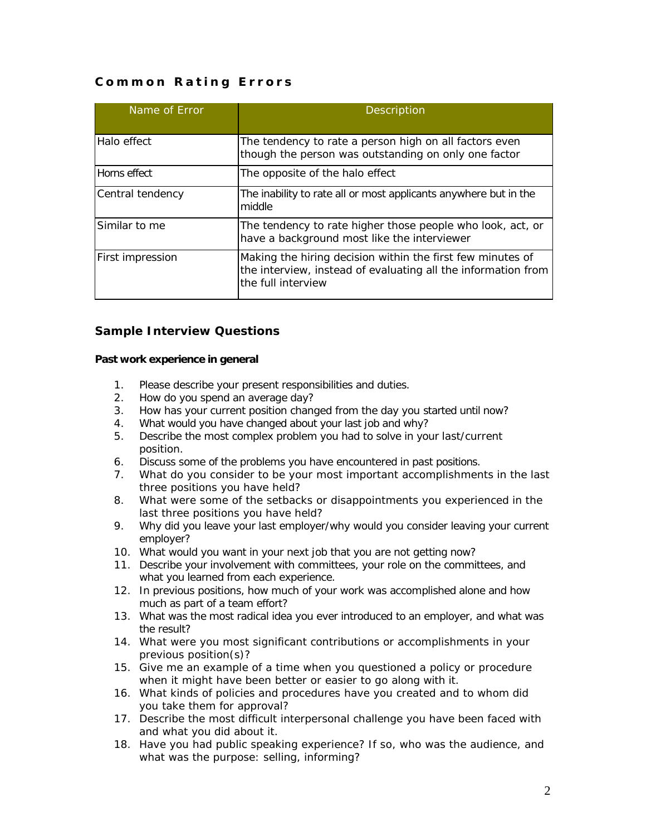# **Common Rating Errors**

| Name of Error    | <b>Description</b>                                                                                                                                |
|------------------|---------------------------------------------------------------------------------------------------------------------------------------------------|
| Halo effect      | The tendency to rate a person high on all factors even<br>though the person was outstanding on only one factor                                    |
| Horns effect     | The opposite of the halo effect                                                                                                                   |
| Central tendency | The inability to rate all or most applicants anywhere but in the<br>middle                                                                        |
| Similar to me    | The tendency to rate higher those people who look, act, or<br>have a background most like the interviewer                                         |
| First impression | Making the hiring decision within the first few minutes of<br>the interview, instead of evaluating all the information from<br>the full interview |

## **Sample Interview Questions**

### **Past work experience in general**

- 1. Please describe your present responsibilities and duties.
- 2. How do you spend an average day?
- 3. How has your current position changed from the day you started until now?
- 4. What would you have changed about your last job and why?
- 5. Describe the most complex problem you had to solve in your last/current position.
- 6. Discuss some of the problems you have encountered in past positions.
- 7. What do you consider to be your most important accomplishments in the last three positions you have held?
- 8. What were some of the setbacks or disappointments you experienced in the last three positions you have held?
- 9. Why did you leave your last employer/why would you consider leaving your current employer?
- 10. What would you want in your next job that you are not getting now?
- 11. Describe your involvement with committees, your role on the committees, and what you learned from each experience.
- 12. In previous positions, how much of your work was accomplished alone and how much as part of a team effort?
- 13. What was the most radical idea you ever introduced to an employer, and what was the result?
- 14. What were you most significant contributions or accomplishments in your previous position(s)?
- 15. Give me an example of a time when you questioned a policy or procedure when it might have been better or easier to go along with it.
- 16. What kinds of policies and procedures have you created and to whom did you take them for approval?
- 17. Describe the most difficult interpersonal challenge you have been faced with and what you did about it.
- 18. Have you had public speaking experience? If so, who was the audience, and what was the purpose: selling, informing?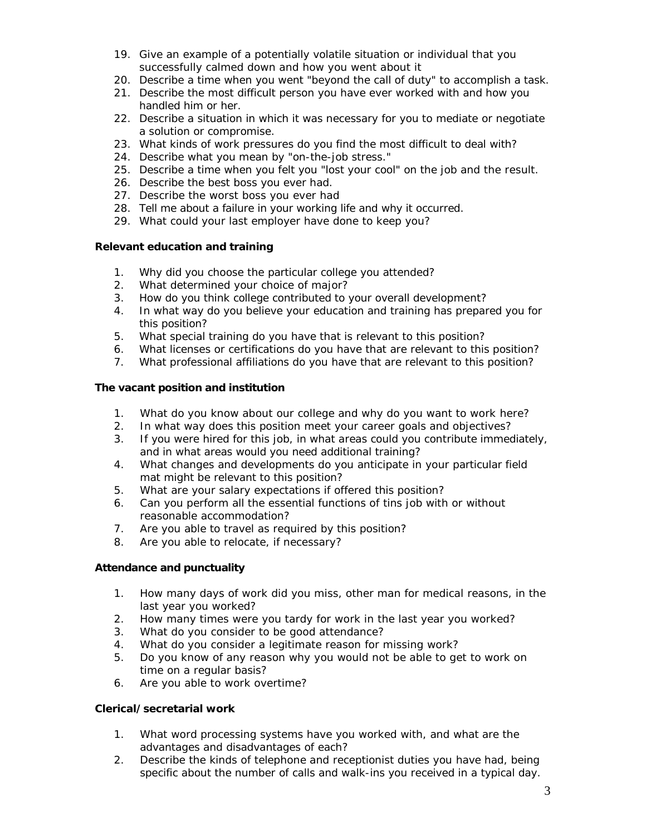- 19. Give an example of a potentially volatile situation or individual that you successfully calmed down and how you went about it
- 20. Describe a time when you went "beyond the call of duty" to accomplish a task.
- 21. Describe the most difficult person you have ever worked with and how you handled him or her.
- 22. Describe a situation in which it was necessary for you to mediate or negotiate a solution or compromise.
- 23. What kinds of work pressures do you find the most difficult to deal with?
- 24. Describe what you mean by "on-the-job stress."
- 25. Describe a time when you felt you "lost your cool" on the job and the result.
- 26. Describe the best boss you ever had.
- 27. Describe the worst boss you ever had
- 28. Tell me about a failure in your working life and why it occurred.
- 29. What could your last employer have done to keep you?

### **Relevant education and training**

- 1. Why did you choose the particular college you attended?
- 2. What determined your choice of major?
- 3. How do you think college contributed to your overall development?
- 4. In what way do you believe your education and training has prepared you for this position?
- 5. What special training do you have that is relevant to this position?
- 6. What licenses or certifications do you have that are relevant to this position?
- 7. What professional affiliations do you have that are relevant to this position?

## **The vacant position and institution**

- 1. What do you know about our college and why do you want to work here?
- 2. In what way does this position meet your career goals and objectives?
- 3. If you were hired for this job, in what areas could you contribute immediately, and in what areas would you need additional training?
- 4. What changes and developments do you anticipate in your particular field mat might be relevant to this position?
- 5. What are your salary expectations if offered this position?
- 6. Can you perform all the essential functions of tins job with or without reasonable accommodation?
- 7. Are you able to travel as required by this position?
- 8. Are you able to relocate, if necessary?

### **Attendance and punctuality**

- 1. How many days of work did you miss, other man for medical reasons, in the last year you worked?
- 2. How many times were you tardy for work in the last year you worked?
- 3. What do you consider to be good attendance?
- 4. What do you consider a legitimate reason for missing work?
- 5. Do you know of any reason why you would not be able to get to work on time on a regular basis?
- 6. Are you able to work overtime?

## **Clerical/secretarial work**

- 1. What word processing systems have you worked with, and what are the advantages and disadvantages of each?
- 2. Describe the kinds of telephone and receptionist duties you have had, being specific about the number of calls and walk-ins you received in a typical day.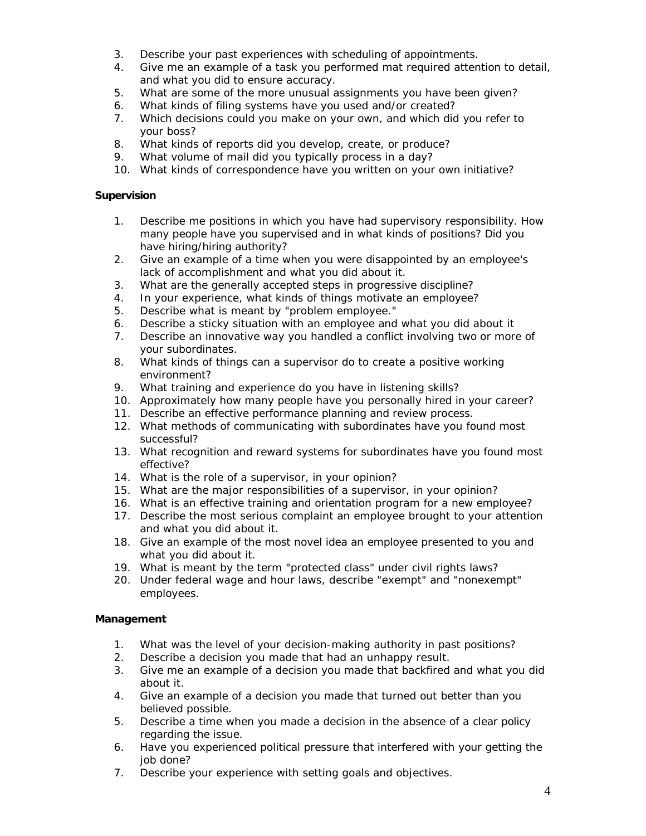- 3. Describe your past experiences with scheduling of appointments.
- 4. Give me an example of a task you performed mat required attention to detail, and what you did to ensure accuracy.
- 5. What are some of the more unusual assignments you have been given?
- 6. What kinds of filing systems have you used and/or created?
- 7. Which decisions could you make on your own, and which did you refer to your boss?
- 8. What kinds of reports did you develop, create, or produce?
- 9. What volume of mail did you typically process in a day?
- 10. What kinds of correspondence have you written on your own initiative?

#### **Supervision**

- 1. Describe me positions in which you have had supervisory responsibility. How many people have you supervised and in what kinds of positions? Did you have hiring/hiring authority?
- 2. Give an example of a time when you were disappointed by an employee's lack of accomplishment and what you did about it.
- 3. What are the generally accepted steps in progressive discipline?
- 4. In your experience, what kinds of things motivate an employee?
- 5. Describe what is meant by "problem employee."
- 6. Describe a sticky situation with an employee and what you did about it
- 7. Describe an innovative way you handled a conflict involving two or more of your subordinates.
- 8. What kinds of things can a supervisor do to create a positive working environment?
- 9. What training and experience do you have in listening skills?
- 10. Approximately how many people have you personally hired in your career?
- 11. Describe an effective performance planning and review process.
- 12. What methods of communicating with subordinates have you found most successful?
- 13. What recognition and reward systems for subordinates have you found most effective?
- 14. What is the role of a supervisor, in your opinion?
- 15. What are the major responsibilities of a supervisor, in your opinion?
- 16. What is an effective training and orientation program for a new employee?
- 17. Describe the most serious complaint an employee brought to your attention and what you did about it.
- 18. Give an example of the most novel idea an employee presented to you and what you did about it.
- 19. What is meant by the term "protected class" under civil rights laws?
- 20. Under federal wage and hour laws, describe "exempt" and "nonexempt" employees.

#### **Management**

- 1. What was the level of your decision-making authority in past positions?
- 2. Describe a decision you made that had an unhappy result.
- 3. Give me an example of a decision you made that backfired and what you did about it.
- 4. Give an example of a decision you made that turned out better than you believed possible.
- 5. Describe a time when you made a decision in the absence of a clear policy regarding the issue.
- 6. Have you experienced political pressure that interfered with your getting the job done?
- 7. Describe your experience with setting goals and objectives.